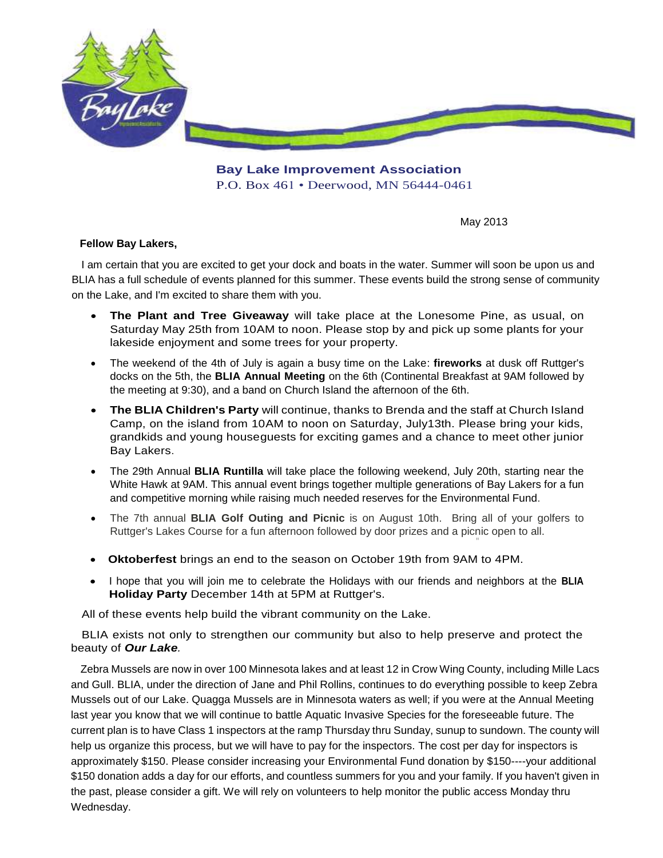

**Bay Lake Improvement Association**  P.O. Box 461 • Deerwood, MN 56444-0461

May 2013

"

## **Fellow Bay Lakers,**

I am certain that you are excited to get your dock and boats in the water. Summer will soon be upon us and BLIA has a full schedule of events planned for this summer. These events build the strong sense of community on the Lake, and I'm excited to share them with you.

- **The Plant and Tree Giveaway** will take place at the Lonesome Pine, as usual, on Saturday May 25th from 10AM to noon. Please stop by and pick up some plants for your lakeside enjoyment and some trees for your property.
- The weekend of the 4th of July is again a busy time on the Lake: **fireworks** at dusk off Ruttger's docks on the 5th, the **BLIA Annual Meeting** on the 6th (Continental Breakfast at 9AM followed by the meeting at 9:30), and a band on Church Island the afternoon of the 6th.
- **The BLIA Children's Party** will continue, thanks to Brenda and the staff at Church Island Camp, on the island from 10AM to noon on Saturday, July13th. Please bring your kids, grandkids and young houseguests for exciting games and a chance to meet other junior Bay Lakers.
- The 29th Annual **BLIA Runtilla** will take place the following weekend, July 20th, starting near the White Hawk at 9AM. This annual event brings together multiple generations of Bay Lakers for a fun and competitive morning while raising much needed reserves for the Environmental Fund.
- The 7th annual **BLIA Golf Outing and Picnic** is on August 10th. Bring all of your golfers to Ruttger's Lakes Course for a fun afternoon followed by door prizes and a picnic open to all.
- **Oktoberfest** brings an end to the season on October 19th from 9AM to 4PM.
- I hope that you will join me to celebrate the Holidays with our friends and neighbors at the **BLIA Holiday Party** December 14th at 5PM at Ruttger's.

All of these events help build the vibrant community on the Lake.

 BLIA exists not only to strengthen our community but also to help preserve and protect the beauty of *Our Lake.* 

Zebra Mussels are now in over 100 Minnesota lakes and at least 12 in Crow Wing County, including Mille Lacs and Gull. BLIA, under the direction of Jane and Phil Rollins, continues to do everything possible to keep Zebra Mussels out of our Lake. Quagga Mussels are in Minnesota waters as well; if you were at the Annual Meeting last year you know that we will continue to battle Aquatic Invasive Species for the foreseeable future. The current plan is to have Class 1 inspectors at the ramp Thursday thru Sunday, sunup to sundown. The county will help us organize this process, but we will have to pay for the inspectors. The cost per day for inspectors is approximately \$150. Please consider increasing your Environmental Fund donation by \$150----your additional \$150 donation adds a day for our efforts, and countless summers for you and your family. If you haven't given in the past, please consider a gift. We will rely on volunteers to help monitor the public access Monday thru Wednesday.